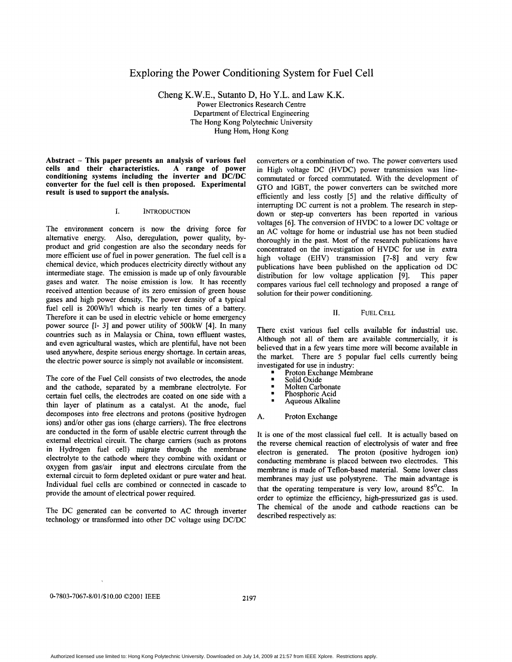# Exploring the Power Conditioning System for Fuel Cell

Cheng K.W.E., Sutanto D, Ho Y.L. and Law K.K. Power Electronics Research Centre Department of Electrical Engineering The Hong Kong Polytechnic University Hung Hom, Hong Kong

Abstract - This paper presents an analysis **of** various **fuel**  cells and their characteristics. **A** range of power conditioning systems including the inverter and **DC/DC**  converter for the fuel cell is then proposed. Experimental result is used to support the analysis.

## **1.** INTRODUCTION

The environment concern is now the driving force for alternative energy. Also, deregulation, power quality, byproduct and grid congestion are also the secondary needs for more efficient use of fuel in power generation. The fuel cell is a chemical device, which produces electricity directly without any intermediate stage. The emission is made up of only favourable gases and water. The noise emission is low. It has recently received attention because of its zero emission of green house gases and high power density. The power density of a typical fuel cell is 200Wh/l which is nearly ten times of a battery. Therefore it can be used in electric vehicle or home emergency power source **[I-** 31 and power utility of 500kW [4]. In many countries such as in Malaysia or China, town effluent wastes, and even agricultural wastes, which are plentiful, have not been used anywhere, despite serious energy shortage. In certain areas, the electric power source is simply not available or inconsistent.

The core of the Fuel Cell consists of two electrodes, the anode and the cathode, separated by a membrane electrolyte. For certain fuel cells, the electrodes are coated on one side with a thin layer of platinum as a catalyst. At the anode, fuel decomposes into free electrons and protons (positive hydrogen ions) and/or other gas ions (charge carriers). The free electrons are conducted in the form of usable electric current through the external electrical circuit. The charge carriers (such as protons in Hydrogen fuel cell) migrate through the membrane electrolyte to the cathode where they combine with oxidant or oxygen from gas/air input and electrons circulate from the external circuit to form depleted oxidant or pure water and heat. Individual fuel cells are combined or connected in cascade to provide the amount of electrical power required.

The DC generated can be converted to AC through inverter technology or transformed into other DC voltage using DC/DC converters or a combination of two. The power converters used in High voltage DC (HVDC) power transmission was linecommutated or forced commutated. With the development of GTO and IGBT, the power converters can be switched more efficiently and less costly [5] and the relative difficulty of interrupting DC current is not a problem. The research in stepdown or step-up converters has been reported in various voltages *[6].* The conversion of HVDC to a lower DC voltage or an AC voltage for home or industrial use has not been studied thoroughly in the past. Most of the research publications have concentrated on the investigation of HVDC for use in extra high voltage (EHV) transmission **[7-81** and very few publications have been published on the application od DC distribution for low voltage application **[9].** This paper compares various fuel cell technology and proposed a range of solution for their power conditioning.

## 11. FUEL CELL

There exist various fuel cells available for industrial use. Although not all of them are available commercially, it is believed that in a few years time more will become available in the market. There are 5 popular fuel cells currently being investigated for use in industry:

- Proton Exchange Membrane
- 
- Solid Oxide .<br>• Molten Carbonate
- Phosphoric Acid . Aqueous Alkaline
- 
- A. Proton Exchange

It is one of the most classical fuel cell. It is actually based on the reverse chemical reaction of electrolysis **of** water and free electron is generated. The proton (positive hydrogen ion) conducting membrane is placed between **two** electrodes. This membrane is made of Teflon-based material. Some lower class membranes may just use polystyrene. The main advantage is that the operating temperature is very low, around  $85^{\circ}$ C. In order to optimize the efficiency, high-pressurized gas is used. The chemical of the anode and cathode reactions can be described respectively as: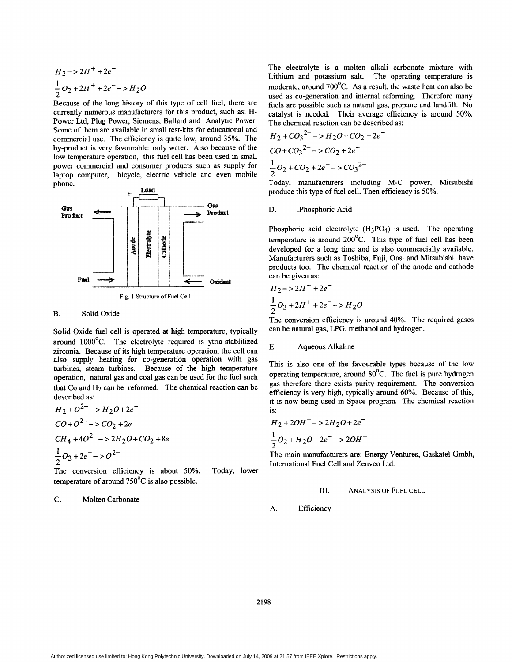<span id="page-1-0"></span>
$$
H_2->2H^+ + 2e^-
$$
  

$$
\frac{1}{2}O_2 + 2H^+ + 2e^- > H_2O
$$

Because of the long history of this type of cell fuel, there are currently numerous manufacturers for this product, such as: H-Power Ltd, Plug Power, Siemens, Ballard and Analytic Power. Some of them are available in small test-kits for educational and commercial use. The efficiency is quite low, around **35%.** The by-product is very favourable: only water. Also because of the low temperature operation, this fuel cell has been used in small power commercial and consumer products such as supply for laptop computer, bicycle, electric vehicle and even mobile phone.



## B. Solid Oxide

Solid Oxide fuel cell is operated at high temperature, typically around 1000°C. The electrolyte required is ytria-stablilized zirconia. Because of its high temperature operation, the cell can also supply heating for co-generation operation with gas turbines, steam turbines. Because of the high temperature operation, natural gas and coal gas can be used for the fuel such that Co and H<sub>2</sub> can be reformed. The chemical reaction can be described as:

$$
H_2 + O^{2-} \rightarrow H_2O + 2e^{-}
$$
  
\n
$$
CO + O^{2-} \rightarrow CO_2 + 2e^{-}
$$
  
\n
$$
CH_4 + 4O^{2-} \rightarrow 2H_2O + CO_2 + 8e^{-}
$$
  
\n
$$
\frac{1}{2}O_2 + 2e^{-} \rightarrow O^{2-}
$$
  
\nThe conversion efficiency is about 50%.

Today, lower temperature of around  $750^{\circ}$ C is also possible.

*C.* Molten Carbonate

The electrolyte is a molten alkali carbonate mixture with Lithium and potassium salt. The operating temperature is moderate, around  $700^{\circ}$ C. As a result, the waste heat can also be used as co-generation and internal reforming. Therefore many fuels are possible such as natural gas, propane and landfill. No catalyst is needed. Their average efficiency is around 50%. The chemical reaction can be described as:

$$
H_2 + CO_3^2 - > H_2O + CO_2 + 2e^-
$$
\n
$$
CO + CO_3^2 - > CO_2 + 2e^-
$$
\n
$$
\frac{1}{2}O_2 + CO_2 + 2e^- > CO_3^2 -
$$

Today, manufacturers including M-C power, Mitsubishi produce this type of fuel cell. Then efficiency is 50%.

### D. Phosphoric Acid

Phosphoric acid electrolyte (H3P04) is used. The operating temperature is around  $200^{\circ}$ C. This type of fuel cell has been developed for a long time and is also commercially available. Manufacturers such as Toshiba, Fuji, Onsi and Mitsubishi have products too. The chemical reaction of the anode and cathode can be given as:

$$
H_2->2H^+ + 2e^-
$$
  
\n
$$
\frac{1}{2}O_2 + 2H^+ + 2e^- - > H_2O
$$

The conversion efficiency is around 40%. The required gases can be natural gas, LPG, methanol and hydrogen.

## E. Aqueous Alkaline

This is also one of the favourable types because of the low operating temperature, around 80°C. The fuel is pure hydrogen gas therefore there exists purity requirement. The conversion efficiency is very high, typically around 60%. Because of this, it is now being used in Space program. The chemical reaction is:

$$
H_2 + 2OH^- \rightarrow 2H_2O + 2e^-
$$
  

$$
\frac{1}{2}O_2 + H_2O + 2e^- \rightarrow 2OH^-
$$

The main manufacturers are: Energy Ventures, Gaskatel Gmbh, International Fuel Cell and Zenvco Ltd.

## **111. ANALYSIS OF** FUEL **CELL**

A. Efficiency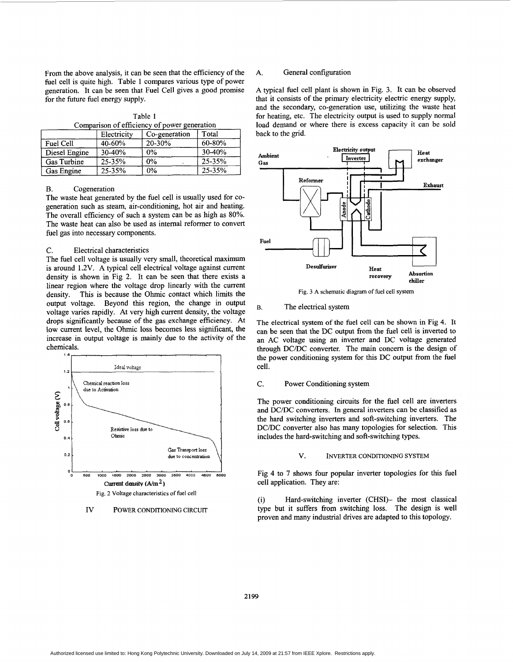From the above analysis, it can be seen that the efficiency of the fuel cell is quite high. Table 1 compares various type of power generation. It can be seen that Fuel Cell gives a good promise for the future fuel energy supply.

| Table 1                                      |  |
|----------------------------------------------|--|
| Comparison of efficiency of power generation |  |

|                    | Electricity | Co-generation | Total  |
|--------------------|-------------|---------------|--------|
| Fuel Cell          | 40-60%      | 20-30%        | 60-80% |
| Diesel Engine      | 30-40%      | $0\%$         | 30-40% |
| <b>Gas Turbine</b> | 25-35%      | 0%            | 25-35% |
| Gas Engine         | 25-35%      | 0%            | 25-35% |

## B. Cogeneration

The waste heat generated by the fuel cell is usually used for cogeneration such as steam, air-conditioning, hot air and heating. The overall efficiency of such a system can be as high as **80%.**  The waste heat can also be used as internal reformer to convert fuel gas into necessary components.

### C. Electrical characteristics

The fuel cell voltage is usually very small, theoretical maximum is around 1.2V. A typical cell electrical voltage against current density is shown in Fig 2. It can be seen that there exists a linear region where the voltage drop linearly with the current density. This is because the Ohmic contact which limits the output voltage. Beyond this region, the change in output voltage varies rapidly. At very high current density, the voltage drops significantly because of the gas exchange efficiency. At low current level, the Ohmic loss becomes less significant, the increase in output voltage is mainly due to the activity of the chemicals.



Iv POWER **CONDITIONING CIRCUIT** 

## A. General configuration

A typical fuel cell plant is shown in Fig. 3. It can be observed that it consists of the primary electricity electric energy supply, and the secondary, co-generation use, utilizing the waste heat for heating, etc. The electricity output is used to supply normal load demand or where there is excess capacity it can be sold back to the grid.



Fig. 3 A schematic diagram of fuel cell system

#### B. The electrical system

The electrical system of the fuel cell can be shown in Fig 4. It can be seen that the DC output from the fuel cell is inverted to an AC voltage using an inverter and DC voltage generated through DC/DC converter. The main concern is the design **of**  the power conditioning system for this DC output from the fuel cell.

## C. Power Conditioning system

The power conditioning circuits for the fuel cell are inverters and DC/DC converters. In general inverters can be classified as the hard switching inverters and soft-switching inverters. The DC/DC converter also has many topologies for selection. This includes the hard-switching and soft-switching types.

#### V. **INVERTER CONDITIONING SYSTEM**

Fig 4 to 7 shows four popular inverter topologies for this fuel cell application. They are:

(i) type but it suffers **from** switching loss. The design is well proven and many industrial drives are adapted to this topology. Hard-switching inverter (CHS1)- the most classical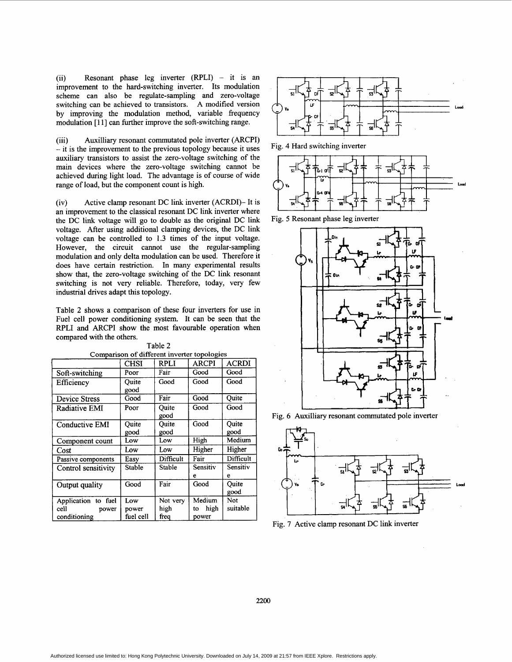(ii) Resonant phase leg inverter (RPLI) - it is an improvement to the hard-switching inverter. Its modulation scheme can also be regulate-sampling and zero-voltage by improving the modulation method, variable frequency modulation [11] can further improve the soft-switching range. switching can be achieved to transistors. A modified version

(iii) Auxilliary resonant commutated pole inverter (ARCPI) - it is the improvement to the previous topology because it uses auxiliary transistors to assist the zero-voltage switching of the main devices where the zero-voltage switching cannot be achieved during light load. The advantage is of course of wide range of load, but the component count is high.

(iv) Active clamp resonant DC link inverter (ACRD1)- It is an improvement to the classical resonant DC link inverter where the DC link voltage will go to double as the original DC link voltage. After using additional clamping devices, the DC link voltage can be controlled to **1.3** times of the input voltage. However, the circuit cannot use the regular-sampling modulation and only delta modulation can be used. Therefore it does have certain restriction. In many experimental results show that, the zero-voltage switching **of** the DC link resonant switching is not very reliable. Therefore, today, very few industrial drives adapt this topology.

Table **2** shows a comparison of these four inverters for use in Fuel cell power conditioning system. It can be seen that the RPLI and ARCPI show the most favourable operation when compared with the others.

|                                                      | <b>CHSI</b>               | <b>RPLI</b>              | <b>ARCPI</b>         | <b>ACRDI</b>    |
|------------------------------------------------------|---------------------------|--------------------------|----------------------|-----------------|
| Soft-switching                                       | Poor                      | Fair                     | Good                 | Good            |
| Efficiency                                           | Ouite<br>good             | Good                     | Good                 | Good            |
| Device Stress                                        | Good                      | Fair                     | Good                 | Quite           |
| Radiative EMI                                        | Poor                      | Ouite<br>good            | Good                 | Good            |
| Conductive EMI                                       | Quite<br>good             | Quite<br>good            | Good                 | Ouite<br>good   |
| Component count                                      | Low                       | Low                      | High                 | Medium          |
| Cost                                                 | Low                       | Low                      | Higher               | Higher          |
| Passive components                                   | Easy                      | Difficult                | Fair                 | Difficult       |
| Control sensitivity                                  | Stable                    | Stable                   | Sensitiv<br>е        | Sensitiv<br>e   |
| Output quality                                       | Good                      | Fair                     | Good                 | Ouite<br>good   |
| Application to fuel<br>cell<br>power<br>conditioning | Low<br>power<br>fuel cell | Not very<br>high<br>frea | Medium<br>high<br>to | Not<br>suitable |
|                                                      |                           |                          | power                |                 |

Table **2**  Comparison of different inverter topologies



Fig. 4 Hard switching inverter



Fig. 5 Resonant phase leg inverter







Fig. **7** Active clamp resonant DC link inverter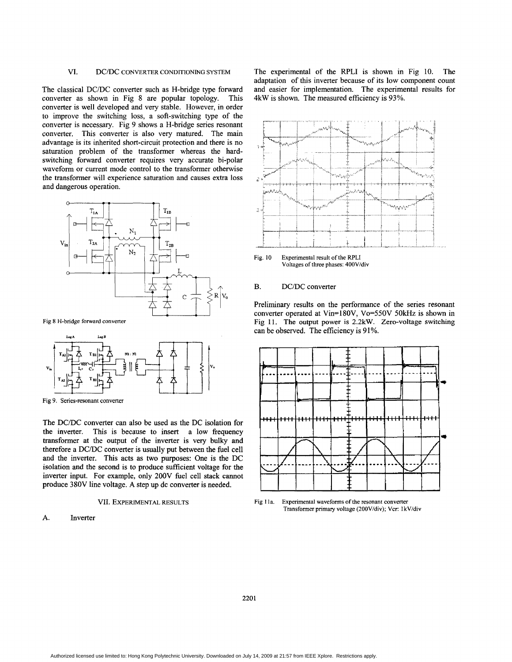## VI. DC/DC CONVERTER **CONDITIONING** SYSTEM

The classical DC/DC converter such as H-bridge type forward converter as shown in Fig 8 are popular topology. This converter is well developed and very stable. However, in order to improve the switching loss, a soft-switching type of the converter is necessary. Fig **9** shows a H-bridge series resonant converter. This converter is also very matured. The main advantage is its inherited short-circuit protection and there is no saturation problem of the transformer whereas the hardswitching forward converter requires very accurate bi-polar waveform or current mode control to the transformer otherwise the transformer will experience saturation and causes extra loss and dangerous operation.



**Fig 8 H-bridge forward converter** 



**Fig 9. Series-resonant converter** 

The DC/DC converter can also be used as the DC isolation for the inverter. This is because to insert a low frequency transformer at the output **of** the inverter is very bulky **and**  therefore a DC/DC converter is usually put between the fuel cell and the inverter. This acts as two purposes: One is the DC isolation and the second is to produce sufficient voltage for the inverter input. For example, only 200V fuel cell stack cannot produce 380V line voltage. **A** step up dc converter is needed.

#### VII. EXPERIMENTAL **RESULTS**

#### **A.** Inverter

The experimental of the RPLI is shown in Fig 10. The adaptation of this inverter because of its low component count and easier for implementation. The experimental results for 4kW is shown. The measured efficiency is **93%.** 



**Fig. 10 Experimental result of the** RPLI **Voltages of three phases: 400V/div** 

## B. DC/DC converter

Preliminary results **on** the performance of the series resonant converter operated at Vin=l80V, Vo=550V **50kHz** is shown in **Fig** 11. The output power is **2.2kW.** Zero-voltage switching can be observed. The efficiency is **9** 1 %.



**[Fig](#page-1-0)** 1 **la. Experimental waveforms of the resonant converter Transformer primary voltage (2OOV/div); Vcr:** 1 **kV/div**